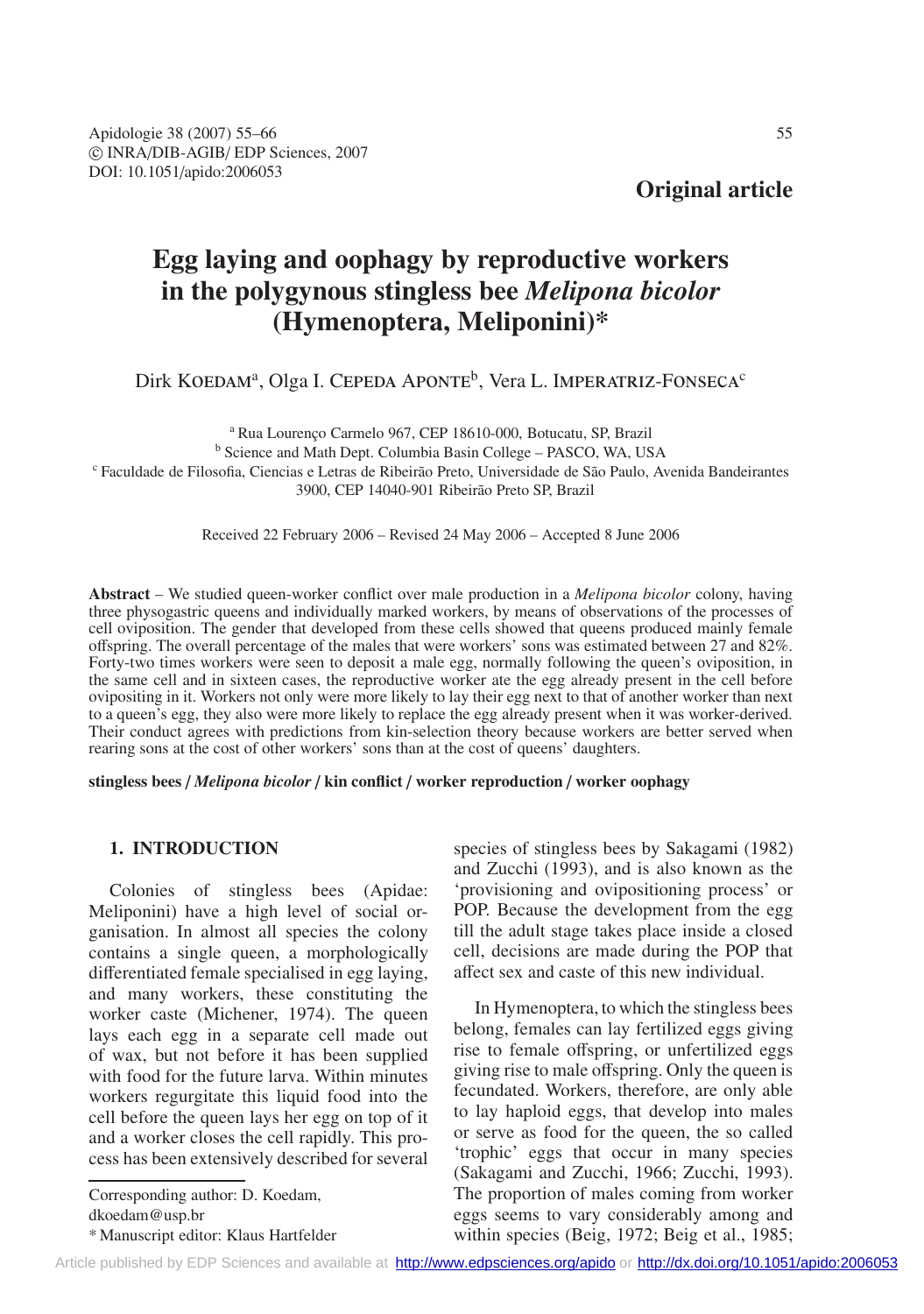## **Original article**

# **Egg laying and oophagy by reproductive workers in the polygynous stingless bee** *Melipona bicolor* **(Hymenoptera, Meliponini)\***

Dirk KOEDAMª, Olga I. CEPEDA APONTE<sup>b</sup>, Vera L. IMPERATRIZ-FONSECA<sup>c</sup>

<sup>a</sup> Rua Lourenço Carmelo 967, CEP 18610-000, Botucatu, SP, Brazil <sup>b</sup> Science and Math Dept. Columbia Basin College – PASCO, WA, USA <sup>c</sup> Faculdade de Filosofia, Ciencias e Letras de Ribeirão Preto, Universidade de São Paulo, Avenida Bandeirantes 3900, CEP 14040-901 Ribeirão Preto SP, Brazil

Received 22 February 2006 – Revised 24 May 2006 – Accepted 8 June 2006

**Abstract** – We studied queen-worker conflict over male production in a *Melipona bicolor* colony, having three physogastric queens and individually marked workers, by means of observations of the processes of cell oviposition. The gender that developed from these cells showed that queens produced mainly female offspring. The overall percentage of the males that were workers' sons was estimated between 27 and 82%. Forty-two times workers were seen to deposit a male egg, normally following the queen's oviposition, in the same cell and in sixteen cases, the reproductive worker ate the egg already present in the cell before ovipositing in it. Workers not only were more likely to lay their egg next to that of another worker than next to a queen's egg, they also were more likely to replace the egg already present when it was worker-derived. Their conduct agrees with predictions from kin-selection theory because workers are better served when rearing sons at the cost of other workers' sons than at the cost of queens' daughters.

**stingless bees** / *Melipona bicolor* / **kin conflict** / **worker reproduction** / **worker oophagy**

#### **1. INTRODUCTION**

Colonies of stingless bees (Apidae: Meliponini) have a high level of social organisation. In almost all species the colony contains a single queen, a morphologically differentiated female specialised in egg laying, and many workers, these constituting the worker caste (Michener, 1974). The queen lays each egg in a separate cell made out of wax, but not before it has been supplied with food for the future larva. Within minutes workers regurgitate this liquid food into the cell before the queen lays her egg on top of it and a worker closes the cell rapidly. This process has been extensively described for several

Corresponding author: D. Koedam, dkoedam@usp.br

\* Manuscript editor: Klaus Hartfelder

species of stingless bees by Sakagami (1982) and Zucchi (1993), and is also known as the 'provisioning and ovipositioning process' or POP. Because the development from the egg till the adult stage takes place inside a closed cell, decisions are made during the POP that affect sex and caste of this new individual.

In Hymenoptera, to which the stingless bees belong, females can lay fertilized eggs giving rise to female offspring, or unfertilized eggs giving rise to male offspring. Only the queen is fecundated. Workers, therefore, are only able to lay haploid eggs, that develop into males or serve as food for the queen, the so called 'trophic' eggs that occur in many species (Sakagami and Zucchi, 1966; Zucchi, 1993). The proportion of males coming from worker eggs seems to vary considerably among and within species (Beig, 1972; Beig et al., 1985;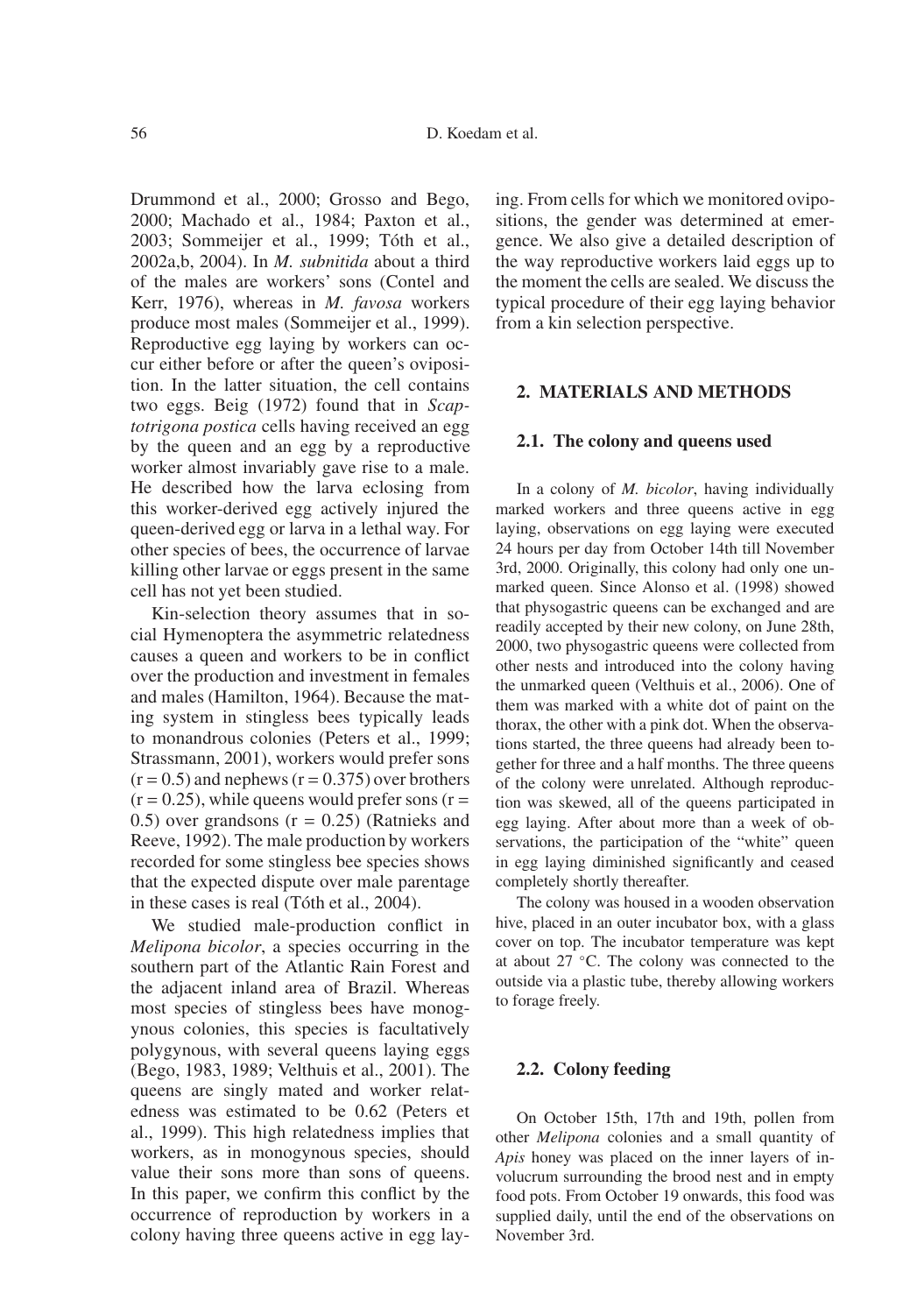Drummond et al., 2000; Grosso and Bego, 2000; Machado et al., 1984; Paxton et al., 2003; Sommeijer et al., 1999; Tóth et al., 2002a,b, 2004). In *M. subnitida* about a third of the males are workers' sons (Contel and Kerr, 1976), whereas in *M. favosa* workers produce most males (Sommeijer et al., 1999). Reproductive egg laying by workers can occur either before or after the queen's oviposition. In the latter situation, the cell contains two eggs. Beig (1972) found that in *Scaptotrigona postica* cells having received an egg by the queen and an egg by a reproductive worker almost invariably gave rise to a male. He described how the larva eclosing from this worker-derived egg actively injured the queen-derived egg or larva in a lethal way. For other species of bees, the occurrence of larvae killing other larvae or eggs present in the same cell has not yet been studied.

Kin-selection theory assumes that in social Hymenoptera the asymmetric relatedness causes a queen and workers to be in conflict over the production and investment in females and males (Hamilton, 1964). Because the mating system in stingless bees typically leads to monandrous colonies (Peters et al., 1999; Strassmann, 2001), workers would prefer sons  $(r = 0.5)$  and nephews  $(r = 0.375)$  over brothers  $(r = 0.25)$ , while queens would prefer sons  $(r = 0.25)$ 0.5) over grandsons  $(r = 0.25)$  (Ratnieks and Reeve, 1992). The male production by workers recorded for some stingless bee species shows that the expected dispute over male parentage in these cases is real (Tóth et al., 2004).

We studied male-production conflict in *Melipona bicolor*, a species occurring in the southern part of the Atlantic Rain Forest and the adjacent inland area of Brazil. Whereas most species of stingless bees have monogynous colonies, this species is facultatively polygynous, with several queens laying eggs (Bego, 1983, 1989; Velthuis et al., 2001). The queens are singly mated and worker relatedness was estimated to be 0.62 (Peters et al., 1999). This high relatedness implies that workers, as in monogynous species, should value their sons more than sons of queens. In this paper, we confirm this conflict by the occurrence of reproduction by workers in a colony having three queens active in egg laying. From cells for which we monitored ovipositions, the gender was determined at emergence. We also give a detailed description of the way reproductive workers laid eggs up to the moment the cells are sealed. We discuss the typical procedure of their egg laying behavior from a kin selection perspective.

#### **2. MATERIALS AND METHODS**

#### **2.1. The colony and queens used**

In a colony of *M. bicolor*, having individually marked workers and three queens active in egg laying, observations on egg laying were executed 24 hours per day from October 14th till November 3rd, 2000. Originally, this colony had only one unmarked queen. Since Alonso et al. (1998) showed that physogastric queens can be exchanged and are readily accepted by their new colony, on June 28th, 2000, two physogastric queens were collected from other nests and introduced into the colony having the unmarked queen (Velthuis et al., 2006). One of them was marked with a white dot of paint on the thorax, the other with a pink dot. When the observations started, the three queens had already been together for three and a half months. The three queens of the colony were unrelated. Although reproduction was skewed, all of the queens participated in egg laying. After about more than a week of observations, the participation of the "white" queen in egg laying diminished significantly and ceased completely shortly thereafter.

The colony was housed in a wooden observation hive, placed in an outer incubator box, with a glass cover on top. The incubator temperature was kept at about 27 ◦C. The colony was connected to the outside via a plastic tube, thereby allowing workers to forage freely.

#### **2.2. Colony feeding**

On October 15th, 17th and 19th, pollen from other *Melipona* colonies and a small quantity of *Apis* honey was placed on the inner layers of involucrum surrounding the brood nest and in empty food pots. From October 19 onwards, this food was supplied daily, until the end of the observations on November 3rd.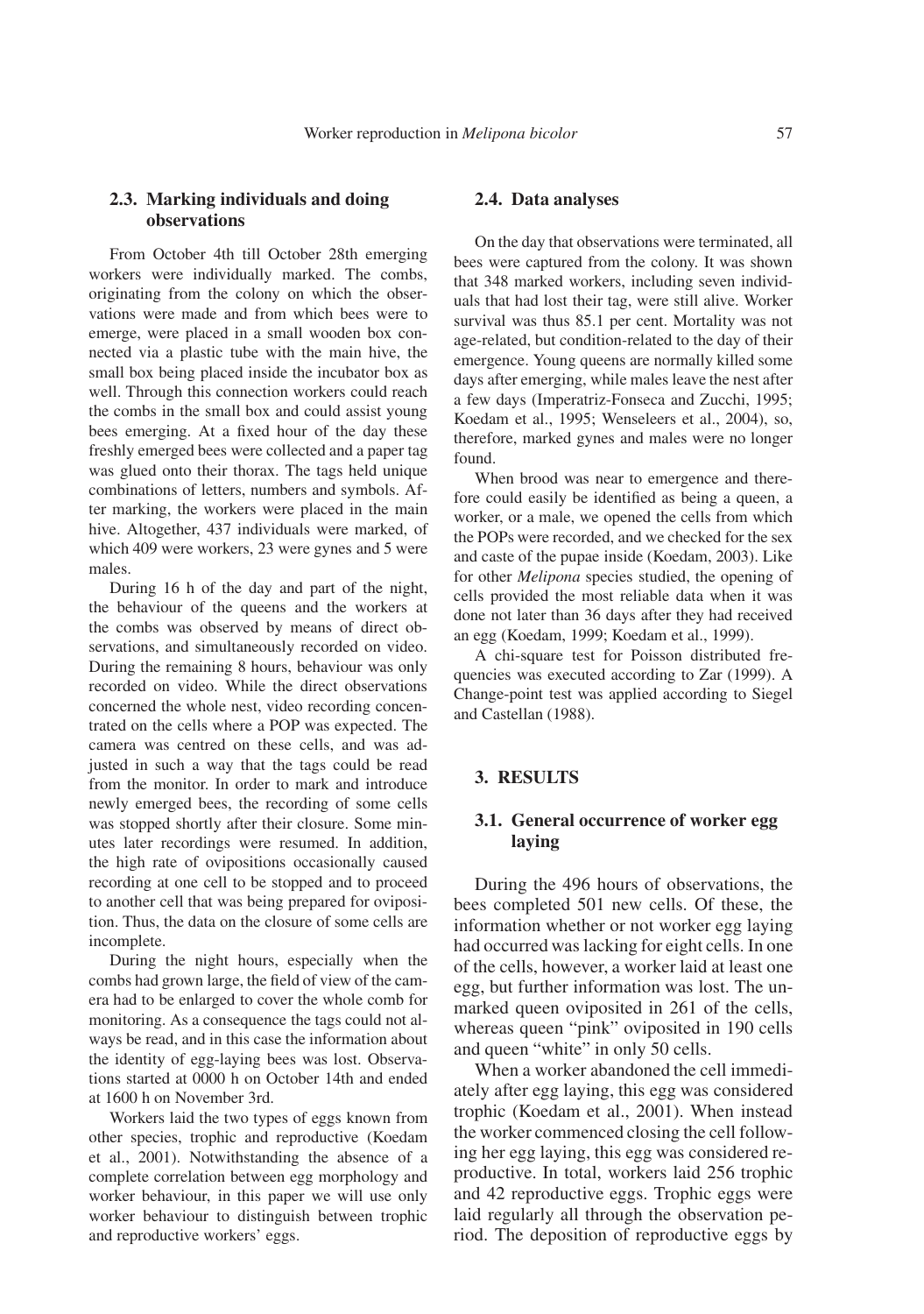#### **2.3. Marking individuals and doing observations**

From October 4th till October 28th emerging workers were individually marked. The combs, originating from the colony on which the observations were made and from which bees were to emerge, were placed in a small wooden box connected via a plastic tube with the main hive, the small box being placed inside the incubator box as well. Through this connection workers could reach the combs in the small box and could assist young bees emerging. At a fixed hour of the day these freshly emerged bees were collected and a paper tag was glued onto their thorax. The tags held unique combinations of letters, numbers and symbols. After marking, the workers were placed in the main hive. Altogether, 437 individuals were marked, of which 409 were workers, 23 were gynes and 5 were males.

During 16 h of the day and part of the night, the behaviour of the queens and the workers at the combs was observed by means of direct observations, and simultaneously recorded on video. During the remaining 8 hours, behaviour was only recorded on video. While the direct observations concerned the whole nest, video recording concentrated on the cells where a POP was expected. The camera was centred on these cells, and was adjusted in such a way that the tags could be read from the monitor. In order to mark and introduce newly emerged bees, the recording of some cells was stopped shortly after their closure. Some minutes later recordings were resumed. In addition, the high rate of ovipositions occasionally caused recording at one cell to be stopped and to proceed to another cell that was being prepared for oviposition. Thus, the data on the closure of some cells are incomplete.

During the night hours, especially when the combs had grown large, the field of view of the camera had to be enlarged to cover the whole comb for monitoring. As a consequence the tags could not always be read, and in this case the information about the identity of egg-laying bees was lost. Observations started at 0000 h on October 14th and ended at 1600 h on November 3rd.

Workers laid the two types of eggs known from other species, trophic and reproductive (Koedam et al., 2001). Notwithstanding the absence of a complete correlation between egg morphology and worker behaviour, in this paper we will use only worker behaviour to distinguish between trophic and reproductive workers' eggs.

## **2.4. Data analyses**

On the day that observations were terminated, all bees were captured from the colony. It was shown that 348 marked workers, including seven individuals that had lost their tag, were still alive. Worker survival was thus 85.1 per cent. Mortality was not age-related, but condition-related to the day of their emergence. Young queens are normally killed some days after emerging, while males leave the nest after a few days (Imperatriz-Fonseca and Zucchi, 1995; Koedam et al., 1995; Wenseleers et al., 2004), so, therefore, marked gynes and males were no longer found.

When brood was near to emergence and therefore could easily be identified as being a queen, a worker, or a male, we opened the cells from which the POPs were recorded, and we checked for the sex and caste of the pupae inside (Koedam, 2003). Like for other *Melipona* species studied, the opening of cells provided the most reliable data when it was done not later than 36 days after they had received an egg (Koedam, 1999; Koedam et al., 1999).

A chi-square test for Poisson distributed frequencies was executed according to Zar (1999). A Change-point test was applied according to Siegel and Castellan (1988).

### **3. RESULTS**

## **3.1. General occurrence of worker egg laying**

During the 496 hours of observations, the bees completed 501 new cells. Of these, the information whether or not worker egg laying had occurred was lacking for eight cells. In one of the cells, however, a worker laid at least one egg, but further information was lost. The unmarked queen oviposited in 261 of the cells, whereas queen "pink" oviposited in 190 cells and queen "white" in only 50 cells.

When a worker abandoned the cell immediately after egg laying, this egg was considered trophic (Koedam et al., 2001). When instead the worker commenced closing the cell following her egg laying, this egg was considered reproductive. In total, workers laid 256 trophic and 42 reproductive eggs. Trophic eggs were laid regularly all through the observation period. The deposition of reproductive eggs by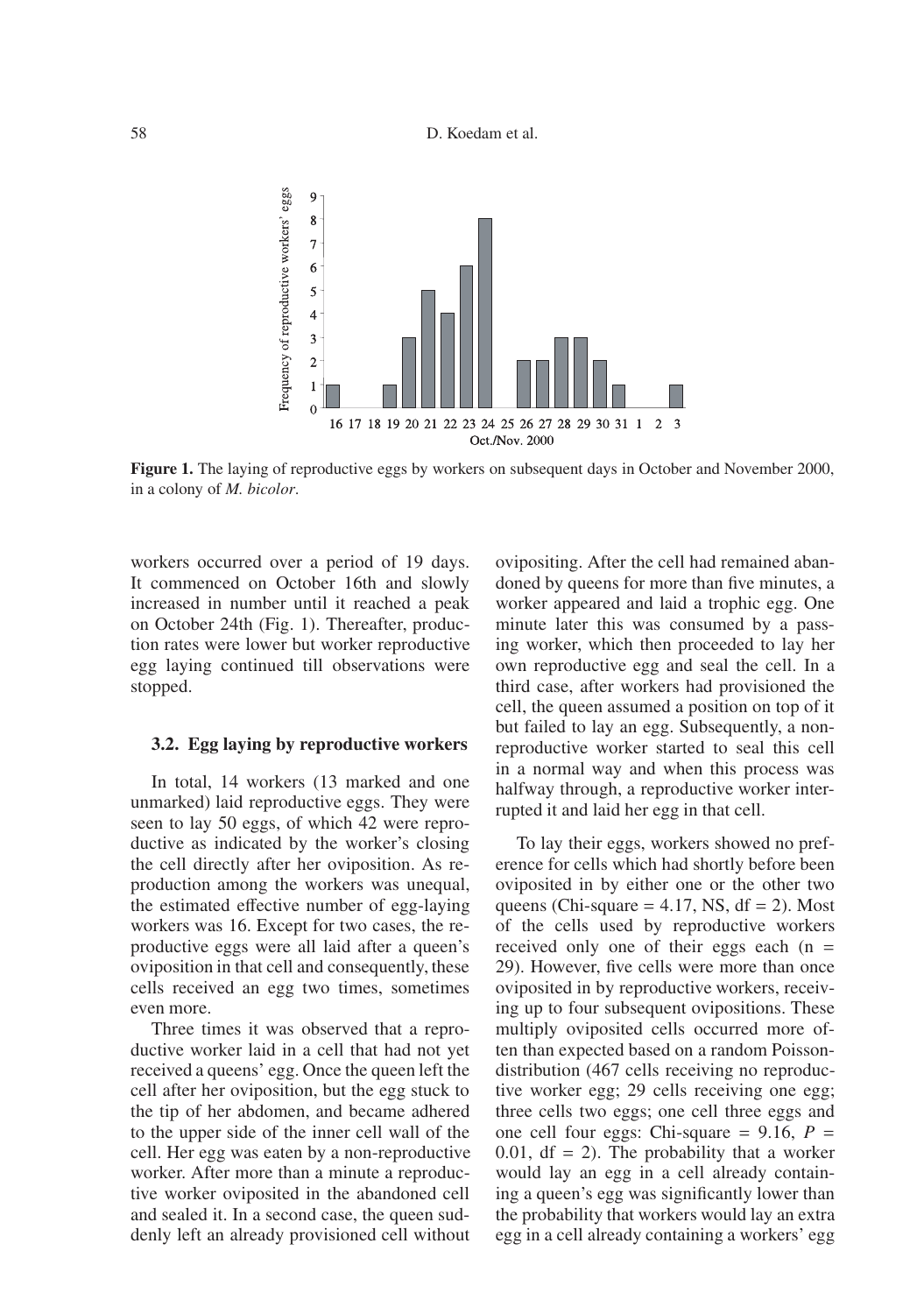

**Figure 1.** The laying of reproductive eggs by workers on subsequent days in October and November 2000, in a colony of *M. bicolor*.

workers occurred over a period of 19 days. It commenced on October 16th and slowly increased in number until it reached a peak on October 24th (Fig. 1). Thereafter, production rates were lower but worker reproductive egg laying continued till observations were stopped.

#### **3.2. Egg laying by reproductive workers**

In total, 14 workers (13 marked and one unmarked) laid reproductive eggs. They were seen to lay 50 eggs, of which 42 were reproductive as indicated by the worker's closing the cell directly after her oviposition. As reproduction among the workers was unequal, the estimated effective number of egg-laying workers was 16. Except for two cases, the reproductive eggs were all laid after a queen's oviposition in that cell and consequently, these cells received an egg two times, sometimes even more.

Three times it was observed that a reproductive worker laid in a cell that had not yet received a queens' egg. Once the queen left the cell after her oviposition, but the egg stuck to the tip of her abdomen, and became adhered to the upper side of the inner cell wall of the cell. Her egg was eaten by a non-reproductive worker. After more than a minute a reproductive worker oviposited in the abandoned cell and sealed it. In a second case, the queen suddenly left an already provisioned cell without ovipositing. After the cell had remained abandoned by queens for more than five minutes, a worker appeared and laid a trophic egg. One minute later this was consumed by a passing worker, which then proceeded to lay her own reproductive egg and seal the cell. In a third case, after workers had provisioned the cell, the queen assumed a position on top of it but failed to lay an egg. Subsequently, a nonreproductive worker started to seal this cell in a normal way and when this process was halfway through, a reproductive worker interrupted it and laid her egg in that cell.

To lay their eggs, workers showed no preference for cells which had shortly before been oviposited in by either one or the other two queens (Chi-square  $= 4.17$ , NS, df  $= 2$ ). Most of the cells used by reproductive workers received only one of their eggs each  $(n =$ 29). However, five cells were more than once oviposited in by reproductive workers, receiving up to four subsequent ovipositions. These multiply oviposited cells occurred more often than expected based on a random Poissondistribution (467 cells receiving no reproductive worker egg; 29 cells receiving one egg; three cells two eggs; one cell three eggs and one cell four eggs: Chi-square =  $9.16$ ,  $P =$ 0.01,  $df = 2$ ). The probability that a worker would lay an egg in a cell already containing a queen's egg was significantly lower than the probability that workers would lay an extra egg in a cell already containing a workers' egg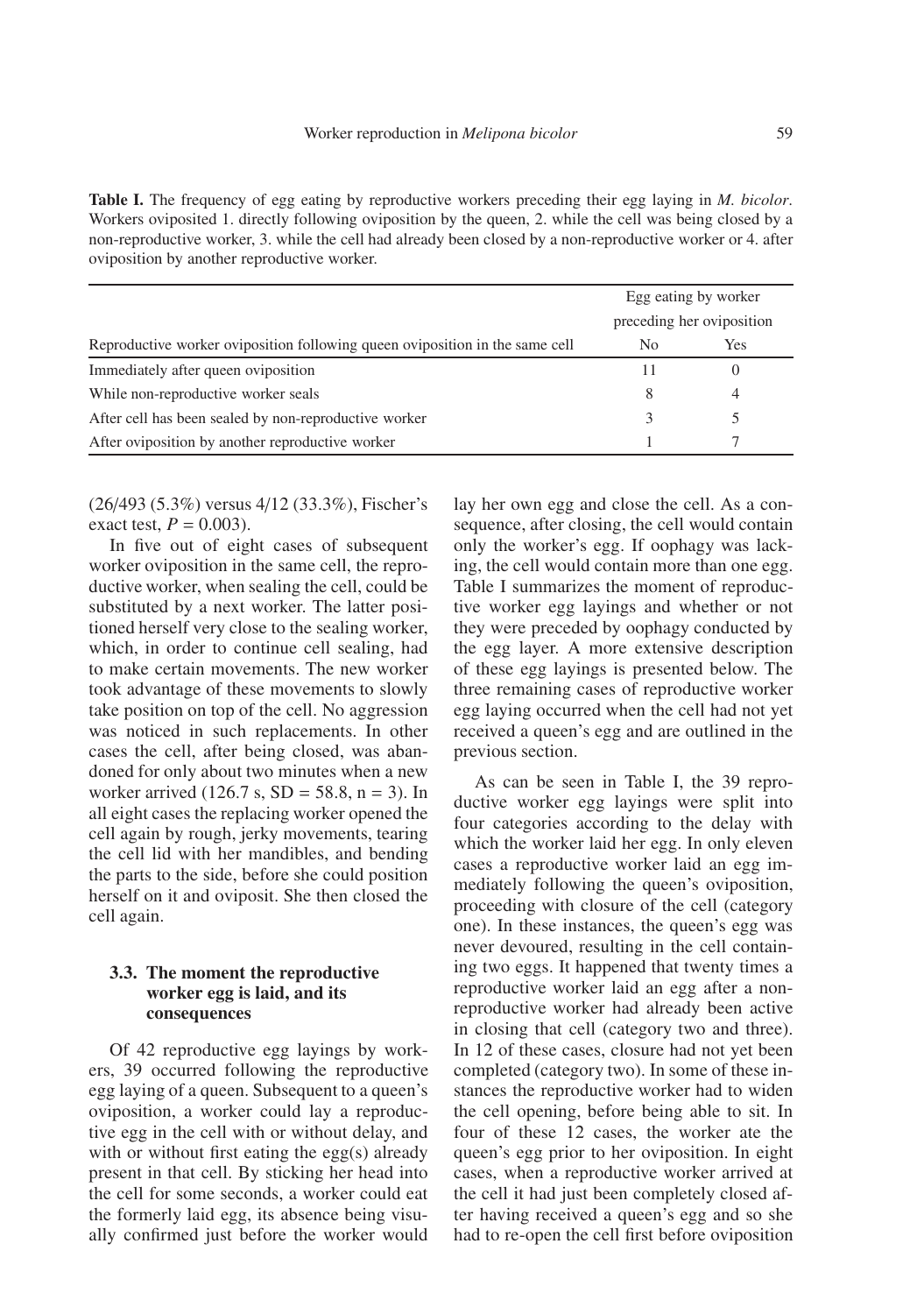**Table I.** The frequency of egg eating by reproductive workers preceding their egg laying in *M. bicolor*. Workers oviposited 1. directly following oviposition by the queen, 2. while the cell was being closed by a non-reproductive worker, 3. while the cell had already been closed by a non-reproductive worker or 4. after oviposition by another reproductive worker.

|                                                                              | Egg eating by worker<br>preceding her oviposition |     |
|------------------------------------------------------------------------------|---------------------------------------------------|-----|
| Reproductive worker oviposition following queen oviposition in the same cell | No                                                | Yes |
| Immediately after queen oviposition                                          |                                                   |     |
| While non-reproductive worker seals                                          | 8                                                 | 4   |
| After cell has been sealed by non-reproductive worker                        |                                                   |     |
| After oviposition by another reproductive worker                             |                                                   |     |

(26/493 (5.3%) versus 4/12 (33.3%), Fischer's exact test,  $P = 0.003$ ).

In five out of eight cases of subsequent worker oviposition in the same cell, the reproductive worker, when sealing the cell, could be substituted by a next worker. The latter positioned herself very close to the sealing worker, which, in order to continue cell sealing, had to make certain movements. The new worker took advantage of these movements to slowly take position on top of the cell. No aggression was noticed in such replacements. In other cases the cell, after being closed, was abandoned for only about two minutes when a new worker arrived  $(126.7 \text{ s}, SD = 58.8, n = 3)$ . In all eight cases the replacing worker opened the cell again by rough, jerky movements, tearing the cell lid with her mandibles, and bending the parts to the side, before she could position herself on it and oviposit. She then closed the cell again.

#### **3.3. The moment the reproductive worker egg is laid, and its consequences**

Of 42 reproductive egg layings by workers, 39 occurred following the reproductive egg laying of a queen. Subsequent to a queen's oviposition, a worker could lay a reproductive egg in the cell with or without delay, and with or without first eating the egg(s) already present in that cell. By sticking her head into the cell for some seconds, a worker could eat the formerly laid egg, its absence being visually confirmed just before the worker would lay her own egg and close the cell. As a consequence, after closing, the cell would contain only the worker's egg. If oophagy was lacking, the cell would contain more than one egg. Table I summarizes the moment of reproductive worker egg layings and whether or not they were preceded by oophagy conducted by the egg layer. A more extensive description of these egg layings is presented below. The three remaining cases of reproductive worker egg laying occurred when the cell had not yet received a queen's egg and are outlined in the previous section.

As can be seen in Table I, the 39 reproductive worker egg layings were split into four categories according to the delay with which the worker laid her egg. In only eleven cases a reproductive worker laid an egg immediately following the queen's oviposition, proceeding with closure of the cell (category one). In these instances, the queen's egg was never devoured, resulting in the cell containing two eggs. It happened that twenty times a reproductive worker laid an egg after a nonreproductive worker had already been active in closing that cell (category two and three). In 12 of these cases, closure had not yet been completed (category two). In some of these instances the reproductive worker had to widen the cell opening, before being able to sit. In four of these 12 cases, the worker ate the queen's egg prior to her oviposition. In eight cases, when a reproductive worker arrived at the cell it had just been completely closed after having received a queen's egg and so she had to re-open the cell first before oviposition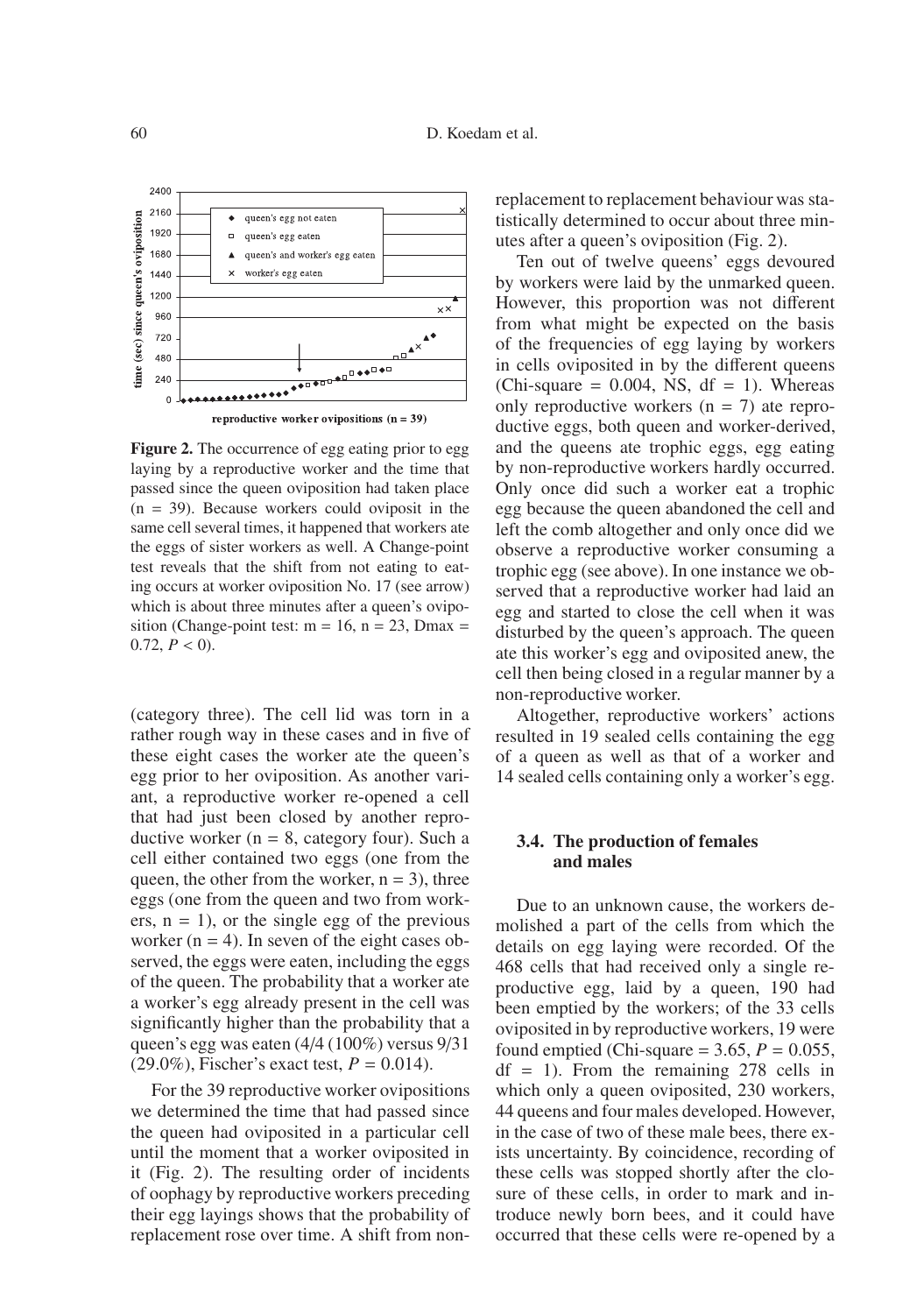

**Figure 2.** The occurrence of egg eating prior to egg laying by a reproductive worker and the time that passed since the queen oviposition had taken place  $(n = 39)$ . Because workers could oviposit in the same cell several times, it happened that workers ate the eggs of sister workers as well. A Change-point test reveals that the shift from not eating to eating occurs at worker oviposition No. 17 (see arrow) which is about three minutes after a queen's oviposition (Change-point test:  $m = 16$ ,  $n = 23$ , Dmax = 0.72,  $P < 0$ ).

(category three). The cell lid was torn in a rather rough way in these cases and in five of these eight cases the worker ate the queen's egg prior to her oviposition. As another variant, a reproductive worker re-opened a cell that had just been closed by another reproductive worker ( $n = 8$ , category four). Such a cell either contained two eggs (one from the queen, the other from the worker,  $n = 3$ ), three eggs (one from the queen and two from workers,  $n = 1$ ), or the single egg of the previous worker  $(n = 4)$ . In seven of the eight cases observed, the eggs were eaten, including the eggs of the queen. The probability that a worker ate a worker's egg already present in the cell was significantly higher than the probability that a queen's egg was eaten (4/4 (100%) versus 9/31  $(29.0\%)$ , Fischer's exact test,  $P = 0.014$ ).

For the 39 reproductive worker ovipositions we determined the time that had passed since the queen had oviposited in a particular cell until the moment that a worker oviposited in it (Fig. 2). The resulting order of incidents of oophagy by reproductive workers preceding their egg layings shows that the probability of replacement rose over time. A shift from nonreplacement to replacement behaviour was statistically determined to occur about three minutes after a queen's oviposition (Fig. 2).

Ten out of twelve queens' eggs devoured by workers were laid by the unmarked queen. However, this proportion was not different from what might be expected on the basis of the frequencies of egg laying by workers in cells oviposited in by the different queens (Chi-square  $= 0.004$ , NS, df  $= 1$ ). Whereas only reproductive workers  $(n = 7)$  ate reproductive eggs, both queen and worker-derived, and the queens ate trophic eggs, egg eating by non-reproductive workers hardly occurred. Only once did such a worker eat a trophic egg because the queen abandoned the cell and left the comb altogether and only once did we observe a reproductive worker consuming a trophic egg (see above). In one instance we observed that a reproductive worker had laid an egg and started to close the cell when it was disturbed by the queen's approach. The queen ate this worker's egg and oviposited anew, the cell then being closed in a regular manner by a non-reproductive worker.

Altogether, reproductive workers' actions resulted in 19 sealed cells containing the egg of a queen as well as that of a worker and 14 sealed cells containing only a worker's egg.

#### **3.4. The production of females and males**

Due to an unknown cause, the workers demolished a part of the cells from which the details on egg laying were recorded. Of the 468 cells that had received only a single reproductive egg, laid by a queen, 190 had been emptied by the workers; of the 33 cells oviposited in by reproductive workers, 19 were found emptied (Chi-square  $= 3.65, P = 0.055$ ,  $df = 1$ ). From the remaining 278 cells in which only a queen oviposited, 230 workers, 44 queens and four males developed. However, in the case of two of these male bees, there exists uncertainty. By coincidence, recording of these cells was stopped shortly after the closure of these cells, in order to mark and introduce newly born bees, and it could have occurred that these cells were re-opened by a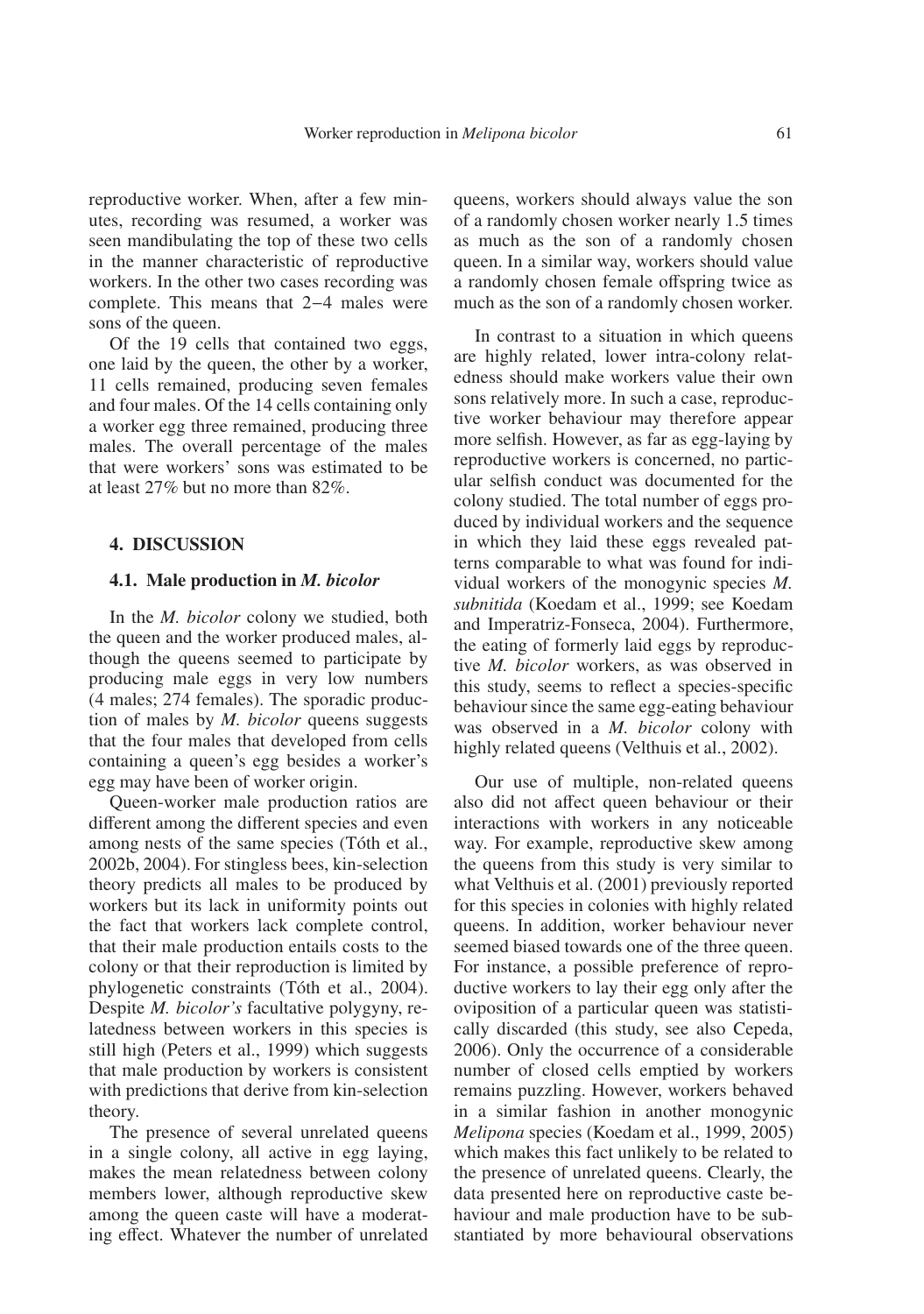reproductive worker. When, after a few minutes, recording was resumed, a worker was seen mandibulating the top of these two cells in the manner characteristic of reproductive workers. In the other two cases recording was complete. This means that 2−4 males were sons of the queen.

Of the 19 cells that contained two eggs, one laid by the queen, the other by a worker, 11 cells remained, producing seven females and four males. Of the 14 cells containing only a worker egg three remained, producing three males. The overall percentage of the males that were workers' sons was estimated to be at least 27% but no more than 82%.

#### **4. DISCUSSION**

#### **4.1. Male production in** *M. bicolor*

In the *M. bicolor* colony we studied, both the queen and the worker produced males, although the queens seemed to participate by producing male eggs in very low numbers (4 males; 274 females). The sporadic production of males by *M. bicolor* queens suggests that the four males that developed from cells containing a queen's egg besides a worker's egg may have been of worker origin.

Queen-worker male production ratios are different among the different species and even among nests of the same species (Tóth et al., 2002b, 2004). For stingless bees, kin-selection theory predicts all males to be produced by workers but its lack in uniformity points out the fact that workers lack complete control, that their male production entails costs to the colony or that their reproduction is limited by phylogenetic constraints (Tóth et al., 2004). Despite *M. bicolor's* facultative polygyny, relatedness between workers in this species is still high (Peters et al., 1999) which suggests that male production by workers is consistent with predictions that derive from kin-selection theory.

The presence of several unrelated queens in a single colony, all active in egg laying, makes the mean relatedness between colony members lower, although reproductive skew among the queen caste will have a moderating effect. Whatever the number of unrelated queens, workers should always value the son of a randomly chosen worker nearly 1.5 times as much as the son of a randomly chosen queen. In a similar way, workers should value a randomly chosen female offspring twice as much as the son of a randomly chosen worker.

In contrast to a situation in which queens are highly related, lower intra-colony relatedness should make workers value their own sons relatively more. In such a case, reproductive worker behaviour may therefore appear more selfish. However, as far as egg-laying by reproductive workers is concerned, no particular selfish conduct was documented for the colony studied. The total number of eggs produced by individual workers and the sequence in which they laid these eggs revealed patterns comparable to what was found for individual workers of the monogynic species *M. subnitida* (Koedam et al., 1999; see Koedam and Imperatriz-Fonseca, 2004). Furthermore, the eating of formerly laid eggs by reproductive *M. bicolor* workers, as was observed in this study, seems to reflect a species-specific behaviour since the same egg-eating behaviour was observed in a *M. bicolor* colony with highly related queens (Velthuis et al., 2002).

Our use of multiple, non-related queens also did not affect queen behaviour or their interactions with workers in any noticeable way. For example, reproductive skew among the queens from this study is very similar to what Velthuis et al. (2001) previously reported for this species in colonies with highly related queens. In addition, worker behaviour never seemed biased towards one of the three queen. For instance, a possible preference of reproductive workers to lay their egg only after the oviposition of a particular queen was statistically discarded (this study, see also Cepeda, 2006). Only the occurrence of a considerable number of closed cells emptied by workers remains puzzling. However, workers behaved in a similar fashion in another monogynic *Melipona* species (Koedam et al., 1999, 2005) which makes this fact unlikely to be related to the presence of unrelated queens. Clearly, the data presented here on reproductive caste behaviour and male production have to be substantiated by more behavioural observations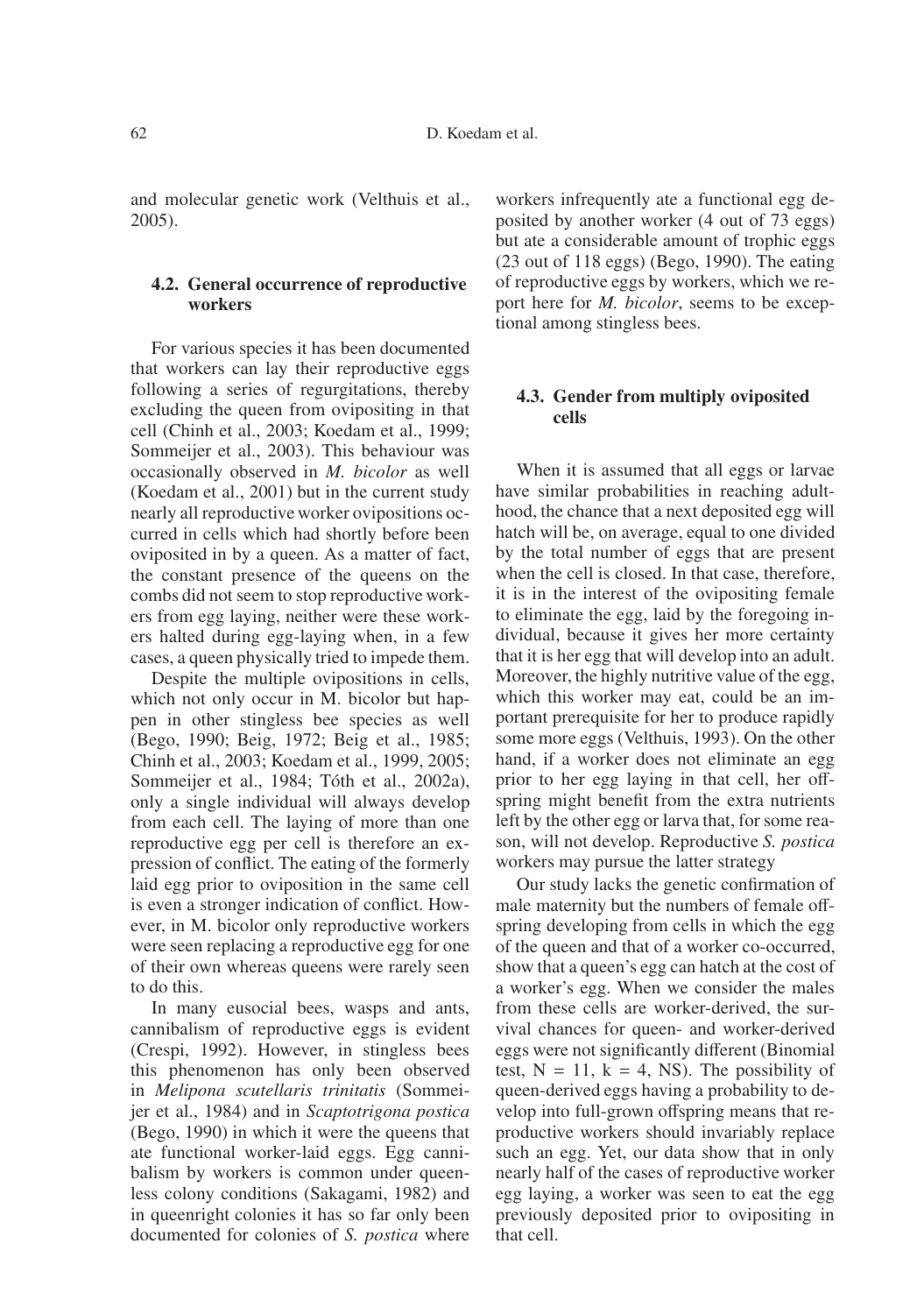and molecular genetic work (Velthuis et al., 2005).

#### **4.2. General occurrence of reproductive workers**

For various species it has been documented that workers can lay their reproductive eggs following a series of regurgitations, thereby excluding the queen from ovipositing in that cell (Chinh et al., 2003; Koedam et al., 1999; Sommeijer et al., 2003). This behaviour was occasionally observed in *M. bicolor* as well (Koedam et al., 2001) but in the current study nearly all reproductive worker ovipositions occurred in cells which had shortly before been oviposited in by a queen. As a matter of fact, the constant presence of the queens on the combs did not seem to stop reproductive workers from egg laying, neither were these workers halted during egg-laying when, in a few cases, a queen physically tried to impede them.

Despite the multiple ovipositions in cells, which not only occur in M. bicolor but happen in other stingless bee species as well (Bego, 1990; Beig, 1972; Beig et al., 1985; Chinh et al., 2003; Koedam et al., 1999, 2005; Sommeijer et al., 1984; Tóth et al., 2002a), only a single individual will always develop from each cell. The laying of more than one reproductive egg per cell is therefore an expression of conflict. The eating of the formerly laid egg prior to oviposition in the same cell is even a stronger indication of conflict. However, in M. bicolor only reproductive workers were seen replacing a reproductive egg for one of their own whereas queens were rarely seen to do this.

In many eusocial bees, wasps and ants, cannibalism of reproductive eggs is evident (Crespi, 1992). However, in stingless bees this phenomenon has only been observed in *Melipona scutellaris trinitatis* (Sommeijer et al., 1984) and in *Scaptotrigona postica* (Bego, 1990) in which it were the queens that ate functional worker-laid eggs. Egg cannibalism by workers is common under queenless colony conditions (Sakagami, 1982) and in queenright colonies it has so far only been documented for colonies of *S. postica* where workers infrequently ate a functional egg deposited by another worker (4 out of 73 eggs) but ate a considerable amount of trophic eggs (23 out of 118 eggs) (Bego, 1990). The eating of reproductive eggs by workers, which we report here for *M. bicolor*, seems to be exceptional among stingless bees.

#### **4.3. Gender from multiply oviposited cells**

When it is assumed that all eggs or larvae have similar probabilities in reaching adulthood, the chance that a next deposited egg will hatch will be, on average, equal to one divided by the total number of eggs that are present when the cell is closed. In that case, therefore, it is in the interest of the ovipositing female to eliminate the egg, laid by the foregoing individual, because it gives her more certainty that it is her egg that will develop into an adult. Moreover, the highly nutritive value of the egg, which this worker may eat, could be an important prerequisite for her to produce rapidly some more eggs (Velthuis, 1993). On the other hand, if a worker does not eliminate an egg prior to her egg laying in that cell, her offspring might benefit from the extra nutrients left by the other egg or larva that, for some reason, will not develop. Reproductive *S. postica* workers may pursue the latter strategy

Our study lacks the genetic confirmation of male maternity but the numbers of female offspring developing from cells in which the egg of the queen and that of a worker co-occurred, show that a queen's egg can hatch at the cost of a worker's egg. When we consider the males from these cells are worker-derived, the survival chances for queen- and worker-derived eggs were not significantly different (Binomial test,  $N = 11$ ,  $k = 4$ , NS). The possibility of queen-derived eggs having a probability to develop into full-grown offspring means that reproductive workers should invariably replace such an egg. Yet, our data show that in only nearly half of the cases of reproductive worker egg laying, a worker was seen to eat the egg previously deposited prior to ovipositing in that cell.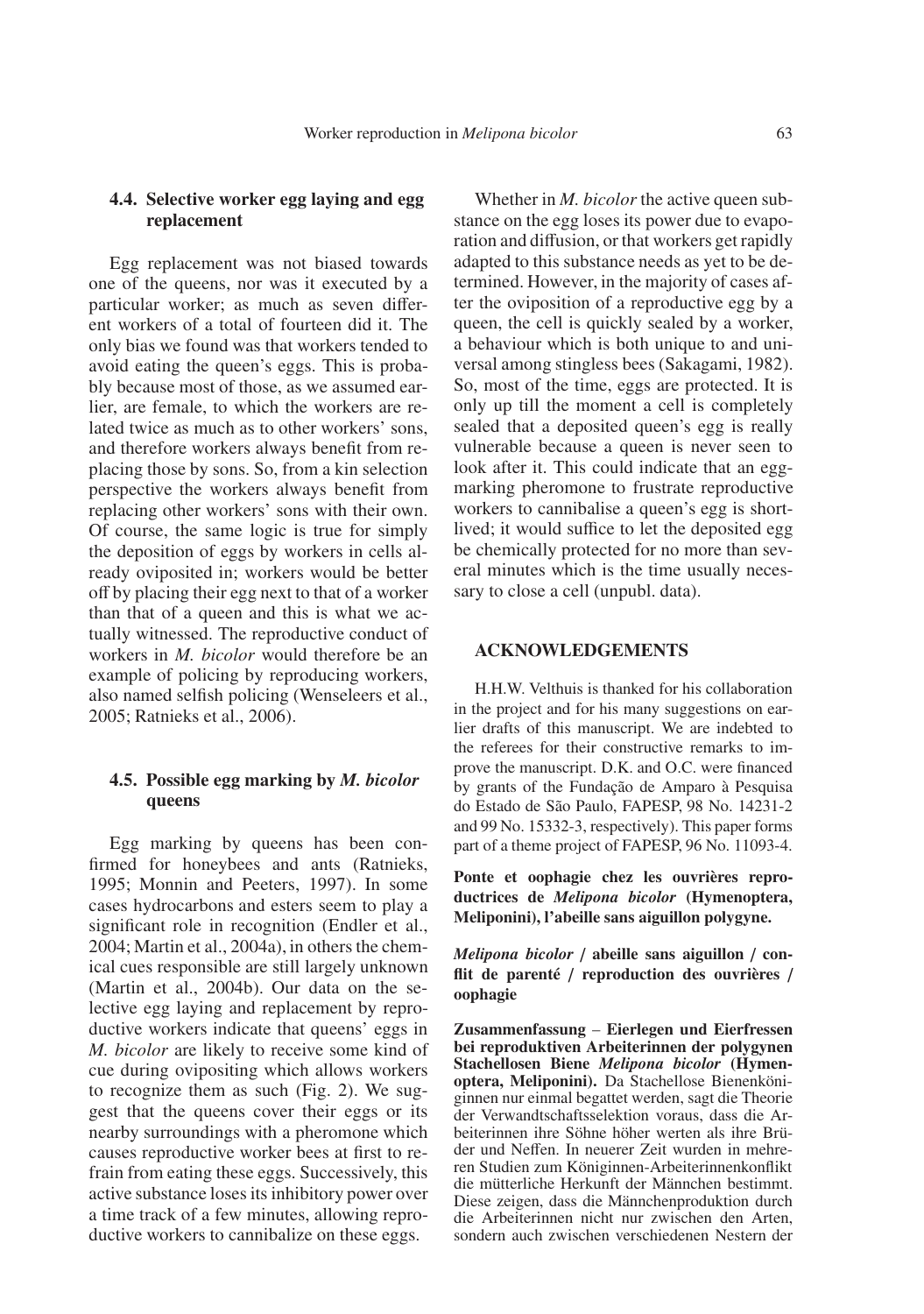#### **4.4. Selective worker egg laying and egg replacement**

Egg replacement was not biased towards one of the queens, nor was it executed by a particular worker; as much as seven different workers of a total of fourteen did it. The only bias we found was that workers tended to avoid eating the queen's eggs. This is probably because most of those, as we assumed earlier, are female, to which the workers are related twice as much as to other workers' sons, and therefore workers always benefit from replacing those by sons. So, from a kin selection perspective the workers always benefit from replacing other workers' sons with their own. Of course, the same logic is true for simply the deposition of eggs by workers in cells already oviposited in; workers would be better off by placing their egg next to that of a worker than that of a queen and this is what we actually witnessed. The reproductive conduct of workers in *M. bicolor* would therefore be an example of policing by reproducing workers, also named selfish policing (Wenseleers et al., 2005; Ratnieks et al., 2006).

#### **4.5. Possible egg marking by** *M. bicolor* **queens**

Egg marking by queens has been confirmed for honeybees and ants (Ratnieks, 1995; Monnin and Peeters, 1997). In some cases hydrocarbons and esters seem to play a significant role in recognition (Endler et al., 2004; Martin et al., 2004a), in others the chemical cues responsible are still largely unknown (Martin et al., 2004b). Our data on the selective egg laying and replacement by reproductive workers indicate that queens' eggs in *M. bicolor* are likely to receive some kind of cue during ovipositing which allows workers to recognize them as such (Fig. 2). We suggest that the queens cover their eggs or its nearby surroundings with a pheromone which causes reproductive worker bees at first to refrain from eating these eggs. Successively, this active substance loses its inhibitory power over a time track of a few minutes, allowing reproductive workers to cannibalize on these eggs.

Whether in *M. bicolor* the active queen substance on the egg loses its power due to evaporation and diffusion, or that workers get rapidly adapted to this substance needs as yet to be determined. However, in the majority of cases after the oviposition of a reproductive egg by a queen, the cell is quickly sealed by a worker, a behaviour which is both unique to and universal among stingless bees (Sakagami, 1982). So, most of the time, eggs are protected. It is only up till the moment a cell is completely sealed that a deposited queen's egg is really vulnerable because a queen is never seen to look after it. This could indicate that an eggmarking pheromone to frustrate reproductive workers to cannibalise a queen's egg is shortlived; it would suffice to let the deposited egg be chemically protected for no more than several minutes which is the time usually necessary to close a cell (unpubl. data).

## **ACKNOWLEDGEMENTS**

H.H.W. Velthuis is thanked for his collaboration in the project and for his many suggestions on earlier drafts of this manuscript. We are indebted to the referees for their constructive remarks to improve the manuscript. D.K. and O.C. were financed by grants of the Fundação de Amparo à Pesquisa do Estado de São Paulo, FAPESP, 98 No. 14231-2 and 99 No. 15332-3, respectively). This paper forms part of a theme project of FAPESP, 96 No. 11093-4.

**Ponte et oophagie chez les ouvrières reproductrices de** *Melipona bicolor* **(Hymenoptera, Meliponini), l'abeille sans aiguillon polygyne.**

*Melipona bicolor* / **abeille sans aiguillon** / **conflit de parenté** / **reproduction des ouvrières** / **oophagie**

**Zusammenfassung** – **Eierlegen und Eierfressen bei reproduktiven Arbeiterinnen der polygynen Stachellosen Biene** *Melipona bicolor* **(Hymenoptera, Meliponini).** Da Stachellose Bienenköniginnen nur einmal begattet werden, sagt die Theorie der Verwandtschaftsselektion voraus, dass die Arbeiterinnen ihre Söhne höher werten als ihre Brüder und Neffen. In neuerer Zeit wurden in mehreren Studien zum Königinnen-Arbeiterinnenkonflikt die mütterliche Herkunft der Männchen bestimmt. Diese zeigen, dass die Männchenproduktion durch die Arbeiterinnen nicht nur zwischen den Arten, sondern auch zwischen verschiedenen Nestern der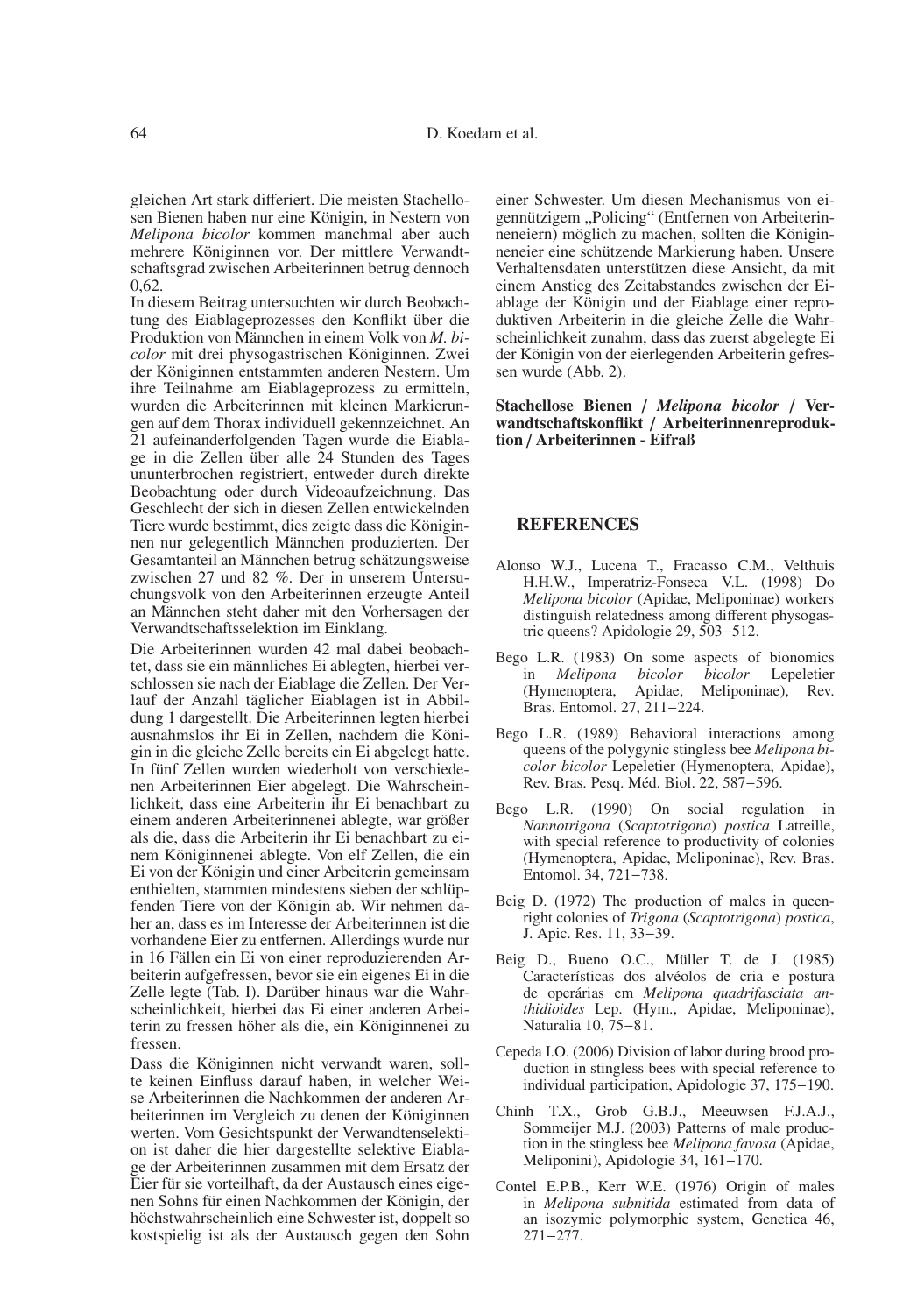gleichen Art stark differiert. Die meisten Stachellosen Bienen haben nur eine Königin, in Nestern von *Melipona bicolor* kommen manchmal aber auch mehrere Königinnen vor. Der mittlere Verwandtschaftsgrad zwischen Arbeiterinnen betrug dennoch 0,62.

In diesem Beitrag untersuchten wir durch Beobachtung des Eiablageprozesses den Konflikt über die Produktion von Männchen in einem Volk von *M. bicolor* mit drei physogastrischen Königinnen. Zwei der Königinnen entstammten anderen Nestern. Um ihre Teilnahme am Eiablageprozess zu ermitteln, wurden die Arbeiterinnen mit kleinen Markierungen auf dem Thorax individuell gekennzeichnet. An 21 aufeinanderfolgenden Tagen wurde die Eiablage in die Zellen über alle 24 Stunden des Tages ununterbrochen registriert, entweder durch direkte Beobachtung oder durch Videoaufzeichnung. Das Geschlecht der sich in diesen Zellen entwickelnden Tiere wurde bestimmt, dies zeigte dass die Königinnen nur gelegentlich Männchen produzierten. Der Gesamtanteil an Männchen betrug schätzungsweise zwischen 27 und 82 %. Der in unserem Untersuchungsvolk von den Arbeiterinnen erzeugte Anteil an Männchen steht daher mit den Vorhersagen der Verwandtschaftsselektion im Einklang.

Die Arbeiterinnen wurden 42 mal dabei beobachtet, dass sie ein männliches Ei ablegten, hierbei verschlossen sie nach der Eiablage die Zellen. Der Verlauf der Anzahl täglicher Eiablagen ist in Abbildung 1 dargestellt. Die Arbeiterinnen legten hierbei ausnahmslos ihr Ei in Zellen, nachdem die Königin in die gleiche Zelle bereits ein Ei abgelegt hatte. In fünf Zellen wurden wiederholt von verschiedenen Arbeiterinnen Eier abgelegt. Die Wahrscheinlichkeit, dass eine Arbeiterin ihr Ei benachbart zu einem anderen Arbeiterinnenei ablegte, war größer als die, dass die Arbeiterin ihr Ei benachbart zu einem Königinnenei ablegte. Von elf Zellen, die ein Ei von der Königin und einer Arbeiterin gemeinsam enthielten, stammten mindestens sieben der schlüpfenden Tiere von der Königin ab. Wir nehmen daher an, dass es im Interesse der Arbeiterinnen ist die vorhandene Eier zu entfernen. Allerdings wurde nur in 16 Fällen ein Ei von einer reproduzierenden Arbeiterin aufgefressen, bevor sie ein eigenes Ei in die Zelle legte (Tab. I). Darüber hinaus war die Wahrscheinlichkeit, hierbei das Ei einer anderen Arbeiterin zu fressen höher als die, ein Königinnenei zu fressen.

Dass die Königinnen nicht verwandt waren, sollte keinen Einfluss darauf haben, in welcher Weise Arbeiterinnen die Nachkommen der anderen Arbeiterinnen im Vergleich zu denen der Königinnen werten. Vom Gesichtspunkt der Verwandtenselektion ist daher die hier dargestellte selektive Eiablage der Arbeiterinnen zusammen mit dem Ersatz der Eier für sie vorteilhaft, da der Austausch eines eigenen Sohns für einen Nachkommen der Königin, der höchstwahrscheinlich eine Schwester ist, doppelt so kostspielig ist als der Austausch gegen den Sohn einer Schwester. Um diesen Mechanismus von eigennützigem "Policing" (Entfernen von Arbeiterinneneiern) möglich zu machen, sollten die Königinneneier eine schützende Markierung haben. Unsere Verhaltensdaten unterstützen diese Ansicht, da mit einem Anstieg des Zeitabstandes zwischen der Eiablage der Königin und der Eiablage einer reproduktiven Arbeiterin in die gleiche Zelle die Wahrscheinlichkeit zunahm, dass das zuerst abgelegte Ei der Königin von der eierlegenden Arbeiterin gefressen wurde (Abb. 2).

**Stachellose Bienen** / *Melipona bicolor* / **Verwandtschaftskonflikt** / **Arbeiterinnenreproduktion** / **Arbeiterinnen - Eifraß**

#### **REFERENCES**

- Alonso W.J., Lucena T., Fracasso C.M., Velthuis H.H.W., Imperatriz-Fonseca V.L. (1998) Do *Melipona bicolor* (Apidae, Meliponinae) workers distinguish relatedness among different physogastric queens? Apidologie 29, 503−512.
- Bego L.R. (1983) On some aspects of bionomics<br>in *Melipona bicolor bicolor* Lepeletier  $bicolor$  Lepeletier (Hymenoptera, Apidae, Meliponinae), Rev. Bras. Entomol. 27, 211−224.
- Bego L.R. (1989) Behavioral interactions among queens of the polygynic stingless bee *Melipona bicolor bicolor* Lepeletier (Hymenoptera, Apidae), Rev. Bras. Pesq. Méd. Biol. 22, 587−596.
- Bego L.R. (1990) On social regulation in *Nannotrigona* (*Scaptotrigona*) *postica* Latreille, with special reference to productivity of colonies (Hymenoptera, Apidae, Meliponinae), Rev. Bras. Entomol. 34, 721−738.
- Beig D. (1972) The production of males in queenright colonies of *Trigona* (*Scaptotrigona*) *postica*, J. Apic. Res. 11, 33−39.
- Beig D., Bueno O.C., Müller T. de J. (1985) Características dos alvéolos de cria e postura de operárias em *Melipona quadrifasciata anthidioides* Lep. (Hym., Apidae, Meliponinae), Naturalia 10, 75−81.
- Cepeda I.O. (2006) Division of labor during brood production in stingless bees with special reference to individual participation, Apidologie 37, 175−190.
- Chinh T.X., Grob G.B.J., Meeuwsen F.J.A.J., Sommeijer M.J. (2003) Patterns of male production in the stingless bee *Melipona favosa* (Apidae, Meliponini), Apidologie 34, 161−170.
- Contel E.P.B., Kerr W.E. (1976) Origin of males in *Melipona subnitida* estimated from data of an isozymic polymorphic system, Genetica 46, 271−277.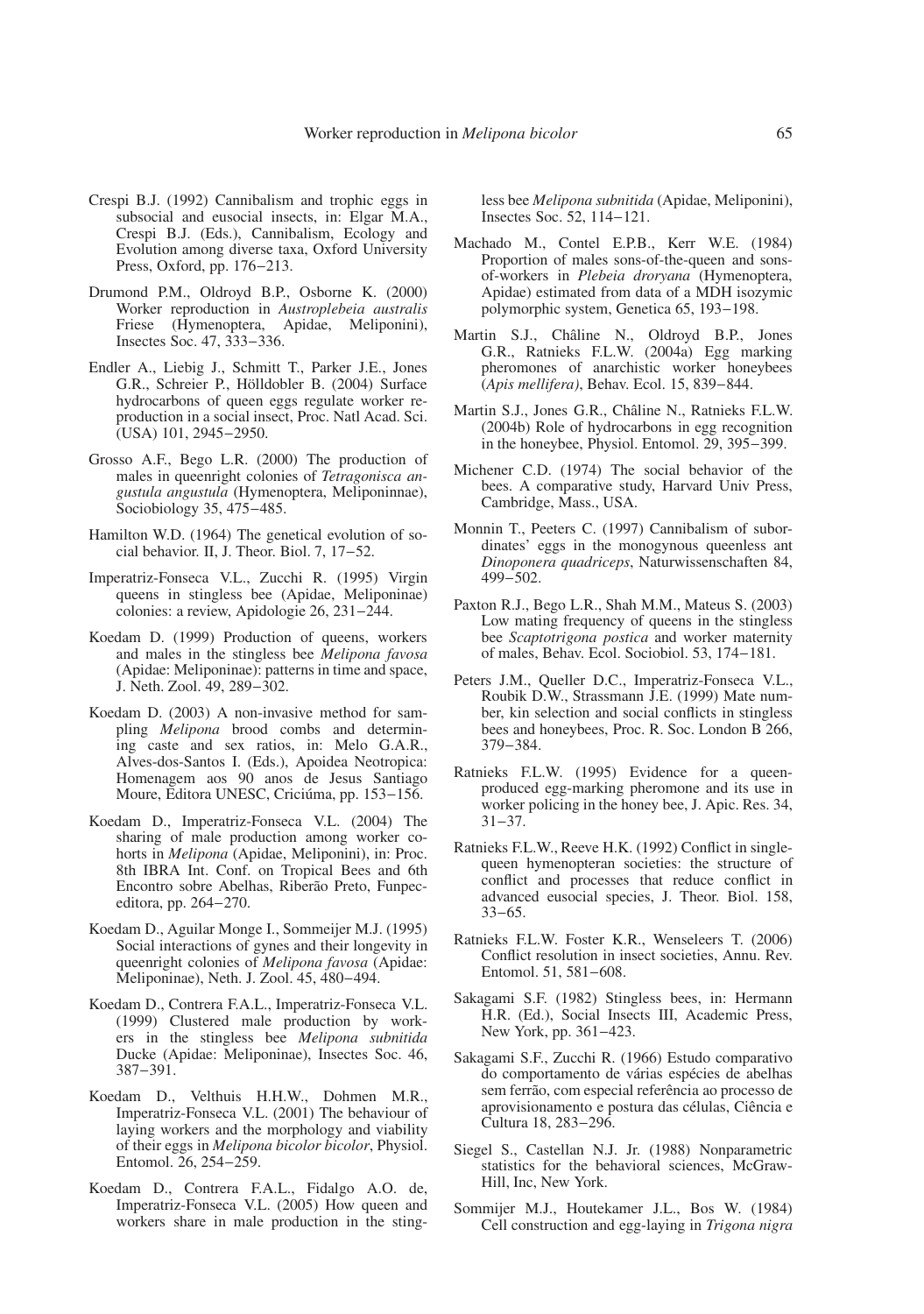- Crespi B.J. (1992) Cannibalism and trophic eggs in subsocial and eusocial insects, in: Elgar M.A., Crespi B.J. (Eds.), Cannibalism, Ecology and Evolution among diverse taxa, Oxford University Press, Oxford, pp. 176−213.
- Drumond P.M., Oldroyd B.P., Osborne K. (2000) Worker reproduction in *Austroplebeia australis* Friese (Hymenoptera, Apidae, Meliponini), Insectes Soc. 47, 333−336.
- Endler A., Liebig J., Schmitt T., Parker J.E., Jones G.R., Schreier P., Hölldobler B. (2004) Surface hydrocarbons of queen eggs regulate worker reproduction in a social insect, Proc. Natl Acad. Sci. (USA) 101, 2945−2950.
- Grosso A.F., Bego L.R. (2000) The production of males in queenright colonies of *Tetragonisca angustula angustula* (Hymenoptera, Meliponinnae), Sociobiology 35, 475−485.
- Hamilton W.D. (1964) The genetical evolution of social behavior. II, J. Theor. Biol. 7, 17−52.
- Imperatriz-Fonseca V.L., Zucchi R. (1995) Virgin queens in stingless bee (Apidae, Meliponinae) colonies: a review, Apidologie 26, 231−244.
- Koedam D. (1999) Production of queens, workers and males in the stingless bee *Melipona favosa* (Apidae: Meliponinae): patterns in time and space, J. Neth. Zool. 49, 289−302.
- Koedam D. (2003) A non-invasive method for sampling *Melipona* brood combs and determining caste and sex ratios, in: Melo G.A.R., Alves-dos-Santos I. (Eds.), Apoidea Neotropica: Homenagem aos 90 anos de Jesus Santiago Moure, Editora UNESC, Criciúma, pp. 153−156.
- Koedam D., Imperatriz-Fonseca V.L. (2004) The sharing of male production among worker cohorts in *Melipona* (Apidae, Meliponini), in: Proc. 8th IBRA Int. Conf. on Tropical Bees and 6th Encontro sobre Abelhas, Riberão Preto, Funpeceditora, pp. 264−270.
- Koedam D., Aguilar Monge I., Sommeijer M.J. (1995) Social interactions of gynes and their longevity in queenright colonies of *Melipona favosa* (Apidae: Meliponinae), Neth. J. Zool. 45, 480−494.
- Koedam D., Contrera F.A.L., Imperatriz-Fonseca V.L. (1999) Clustered male production by workers in the stingless bee *Melipona subnitida* Ducke (Apidae: Meliponinae), Insectes Soc. 46, 387−391.
- Koedam D., Velthuis H.H.W., Dohmen M.R., Imperatriz-Fonseca V.L. (2001) The behaviour of laying workers and the morphology and viability of their eggs in *Melipona bicolor bicolor*, Physiol. Entomol. 26, 254−259.
- Koedam D., Contrera F.A.L., Fidalgo A.O. de, Imperatriz-Fonseca V.L. (2005) How queen and workers share in male production in the sting-

less bee *Melipona subnitida* (Apidae, Meliponini), Insectes Soc. 52, 114−121.

- Machado M., Contel E.P.B., Kerr W.E. (1984) Proportion of males sons-of-the-queen and sonsof-workers in *Plebeia droryana* (Hymenoptera, Apidae) estimated from data of a MDH isozymic polymorphic system, Genetica 65, 193−198.
- Martin S.J., Châline N., Oldroyd B.P., Jones G.R., Ratnieks F.L.W. (2004a) Egg marking pheromones of anarchistic worker honeybees (*Apis mellifera)*, Behav. Ecol. 15, 839−844.
- Martin S.J., Jones G.R., Châline N., Ratnieks F.L.W. (2004b) Role of hydrocarbons in egg recognition in the honeybee, Physiol. Entomol. 29, 395−399.
- Michener C.D. (1974) The social behavior of the bees. A comparative study, Harvard Univ Press, Cambridge, Mass., USA.
- Monnin T., Peeters C. (1997) Cannibalism of subordinates' eggs in the monogynous queenless ant *Dinoponera quadriceps*, Naturwissenschaften 84, 499−502.
- Paxton R.J., Bego L.R., Shah M.M., Mateus S. (2003) Low mating frequency of queens in the stingless bee *Scaptotrigona postica* and worker maternity of males, Behav. Ecol. Sociobiol. 53, 174−181.
- Peters J.M., Queller D.C., Imperatriz-Fonseca V.L., Roubik D.W., Strassmann J.E. (1999) Mate number, kin selection and social conflicts in stingless bees and honeybees, Proc. R. Soc. London B 266, 379−384.
- Ratnieks F.L.W. (1995) Evidence for a queenproduced egg-marking pheromone and its use in worker policing in the honey bee, J. Apic. Res. 34, 31−37.
- Ratnieks F.L.W., Reeve H.K. (1992) Conflict in singlequeen hymenopteran societies: the structure of conflict and processes that reduce conflict in advanced eusocial species, J. Theor. Biol. 158, 33−65.
- Ratnieks F.L.W. Foster K.R., Wenseleers T. (2006) Conflict resolution in insect societies, Annu. Rev. Entomol. 51, 581−608.
- Sakagami S.F. (1982) Stingless bees, in: Hermann H.R. (Ed.), Social Insects III, Academic Press, New York, pp. 361−423.
- Sakagami S.F., Zucchi R. (1966) Estudo comparativo do comportamento de várias espécies de abelhas sem ferrão, com especial referência ao processo de aprovisionamento e postura das células, Ciência e Cultura 18, 283−296.
- Siegel S., Castellan N.J. Jr. (1988) Nonparametric statistics for the behavioral sciences, McGraw-Hill, Inc, New York.
- Sommijer M.J., Houtekamer J.L., Bos W. (1984) Cell construction and egg-laying in *Trigona nigra*